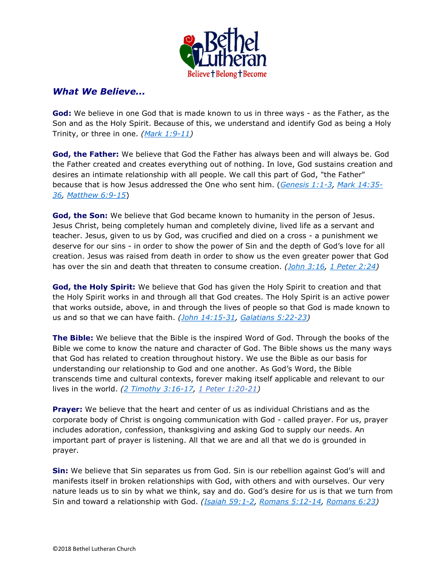

## What We Believe...

God: We believe in one God that is made known to us in three ways - as the Father, as the Son and as the Holy Spirit. Because of this, we understand and identify God as being a Holy Trinity, or three in one.  $(Mark 1:9-11)$ 

God, the Father: We believe that God the Father has always been and will always be. God the Father created and creates everything out of nothing. In love, God sustains creation and desires an intimate relationship with all people. We call this part of God, "the Father" because that is how Jesus addressed the One who sent him. (Genesis 1:1-3, Mark 14:35- 36, Matthew 6:9-15)

God, the Son: We believe that God became known to humanity in the person of Jesus. Jesus Christ, being completely human and completely divine, lived life as a servant and teacher. Jesus, given to us by God, was crucified and died on a cross - a punishment we deserve for our sins - in order to show the power of Sin and the depth of God's love for all creation. Jesus was raised from death in order to show us the even greater power that God has over the sin and death that threaten to consume creation. (*John 3:16, 1 Peter 2:24*)

God, the Holy Spirit: We believe that God has given the Holy Spirit to creation and that the Holy Spirit works in and through all that God creates. The Holy Spirit is an active power that works outside, above, in and through the lives of people so that God is made known to us and so that we can have faith. (John 14:15-31, Galatians 5:22-23)

The Bible: We believe that the Bible is the inspired Word of God. Through the books of the Bible we come to know the nature and character of God. The Bible shows us the many ways that God has related to creation throughout history. We use the Bible as our basis for understanding our relationship to God and one another. As God's Word, the Bible transcends time and cultural contexts, forever making itself applicable and relevant to our lives in the world.  $(2$  Timothy 3:16-17, 1 Peter 1:20-21)

**Prayer:** We believe that the heart and center of us as individual Christians and as the corporate body of Christ is ongoing communication with God - called prayer. For us, prayer includes adoration, confession, thanksgiving and asking God to supply our needs. An important part of prayer is listening. All that we are and all that we do is grounded in prayer.

**Sin:** We believe that Sin separates us from God. Sin is our rebellion against God's will and manifests itself in broken relationships with God, with others and with ourselves. Our very nature leads us to sin by what we think, say and do. God's desire for us is that we turn from Sin and toward a relationship with God. (Isaiah 59:1-2, Romans 5:12-14, Romans 6:23)